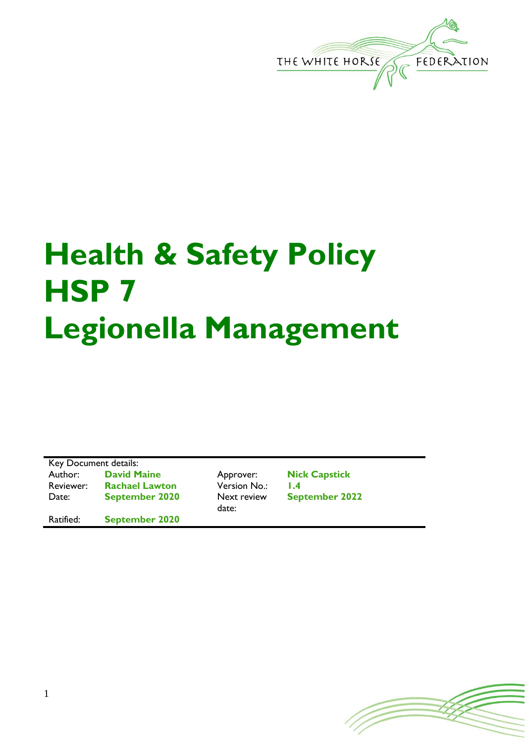

## **Health & Safety Policy HSP 7 Legionella Management**

Key Document details: Author: **David Maine** Approver: **Nick Capstick** Reviewer: **Rachael Lawton** Version No.: **1.4** Date: **September 2020** Next review

Ratified: **September 2020**

date:

**September 2022**

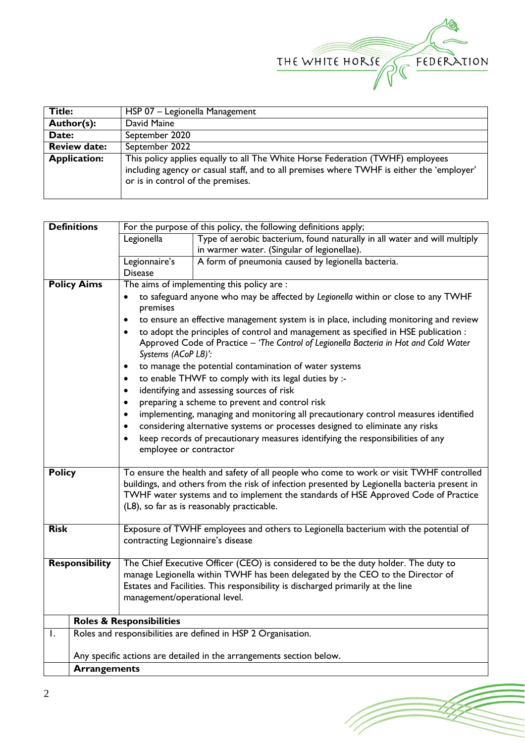

(Topon

| Title:              | HSP 07 - Legionella Management                                                                                                                                                                                   |  |  |
|---------------------|------------------------------------------------------------------------------------------------------------------------------------------------------------------------------------------------------------------|--|--|
| Author(s):          | David Maine                                                                                                                                                                                                      |  |  |
| Date:               | September 2020                                                                                                                                                                                                   |  |  |
| <b>Review date:</b> | September 2022                                                                                                                                                                                                   |  |  |
| <b>Application:</b> | This policy applies equally to all The White Horse Federation (TWHF) employees<br>including agency or casual staff, and to all premises where TWHF is either the 'employer'<br>or is in control of the premises. |  |  |

| <b>Definitions</b>                                                                      | For the purpose of this policy, the following definitions apply;                                                                                                                                                                                                                                                            |                                                               |  |  |  |  |
|-----------------------------------------------------------------------------------------|-----------------------------------------------------------------------------------------------------------------------------------------------------------------------------------------------------------------------------------------------------------------------------------------------------------------------------|---------------------------------------------------------------|--|--|--|--|
| Type of aerobic bacterium, found naturally in all water and will multiply<br>Legionella |                                                                                                                                                                                                                                                                                                                             |                                                               |  |  |  |  |
|                                                                                         |                                                                                                                                                                                                                                                                                                                             | in warmer water. (Singular of legionellae).                   |  |  |  |  |
|                                                                                         | Legionnaire's                                                                                                                                                                                                                                                                                                               | A form of pneumonia caused by legionella bacteria.            |  |  |  |  |
|                                                                                         | <b>Disease</b>                                                                                                                                                                                                                                                                                                              |                                                               |  |  |  |  |
| <b>Policy Aims</b>                                                                      | The aims of implementing this policy are :                                                                                                                                                                                                                                                                                  |                                                               |  |  |  |  |
|                                                                                         | to safeguard anyone who may be affected by Legionella within or close to any TWHF<br>to ensure an effective management system is in place, including monitoring and review                                                                                                                                                  |                                                               |  |  |  |  |
|                                                                                         | to adopt the principles of control and management as specified in HSE publication :<br>$\bullet$<br>Approved Code of Practice - 'The Control of Legionella Bacteria in Hot and Cold Water<br>Systems (ACoP L8)':                                                                                                            |                                                               |  |  |  |  |
|                                                                                         | ٠                                                                                                                                                                                                                                                                                                                           | to manage the potential contamination of water systems        |  |  |  |  |
|                                                                                         | to enable THWF to comply with its legal duties by :-<br>٠                                                                                                                                                                                                                                                                   |                                                               |  |  |  |  |
|                                                                                         | identifying and assessing sources of risk<br>$\bullet$                                                                                                                                                                                                                                                                      |                                                               |  |  |  |  |
|                                                                                         | preparing a scheme to prevent and control risk<br>٠                                                                                                                                                                                                                                                                         |                                                               |  |  |  |  |
|                                                                                         | implementing, managing and monitoring all precautionary control measures identified<br>٠                                                                                                                                                                                                                                    |                                                               |  |  |  |  |
|                                                                                         | considering alternative systems or processes designed to eliminate any risks<br>٠                                                                                                                                                                                                                                           |                                                               |  |  |  |  |
|                                                                                         | keep records of precautionary measures identifying the responsibilities of any<br>$\bullet$<br>employee or contractor                                                                                                                                                                                                       |                                                               |  |  |  |  |
| <b>Policy</b>                                                                           | To ensure the health and safety of all people who come to work or visit TWHF controlled<br>buildings, and others from the risk of infection presented by Legionella bacteria present in<br>TWHF water systems and to implement the standards of HSE Approved Code of Practice<br>(L8), so far as is reasonably practicable. |                                                               |  |  |  |  |
| <b>Risk</b>                                                                             | Exposure of TWHF employees and others to Legionella bacterium with the potential of<br>contracting Legionnaire's disease                                                                                                                                                                                                    |                                                               |  |  |  |  |
| <b>Responsibility</b>                                                                   | The Chief Executive Officer (CEO) is considered to be the duty holder. The duty to<br>manage Legionella within TWHF has been delegated by the CEO to the Director of<br>Estates and Facilities. This responsibility is discharged primarily at the line<br>management/operational level.                                    |                                                               |  |  |  |  |
|                                                                                         | <b>Roles &amp; Responsibilities</b>                                                                                                                                                                                                                                                                                         |                                                               |  |  |  |  |
| Ι.                                                                                      |                                                                                                                                                                                                                                                                                                                             | Roles and responsibilities are defined in HSP 2 Organisation. |  |  |  |  |
|                                                                                         |                                                                                                                                                                                                                                                                                                                             |                                                               |  |  |  |  |
|                                                                                         | Any specific actions are detailed in the arrangements section below.                                                                                                                                                                                                                                                        |                                                               |  |  |  |  |
|                                                                                         | <b>Arrangements</b>                                                                                                                                                                                                                                                                                                         |                                                               |  |  |  |  |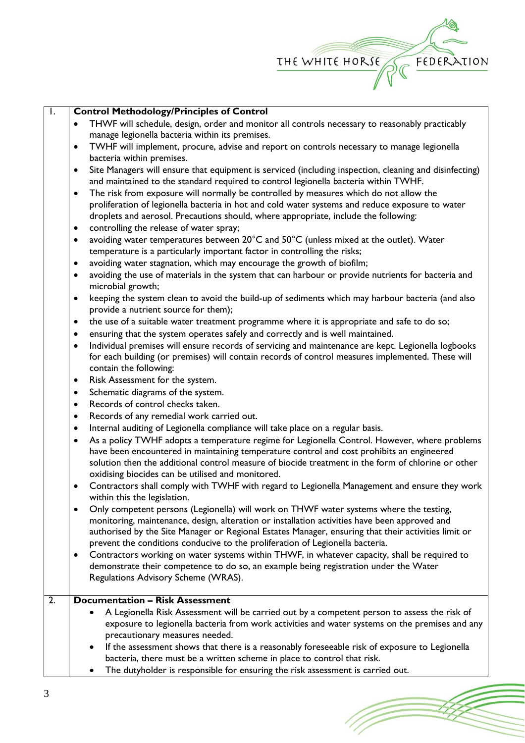

(Toponial)

| $\overline{\phantom{a}}$ | <b>Control Methodology/Principles of Control</b>                                                                    |
|--------------------------|---------------------------------------------------------------------------------------------------------------------|
|                          | THWF will schedule, design, order and monitor all controls necessary to reasonably practicably<br>$\bullet$         |
|                          | manage legionella bacteria within its premises.                                                                     |
|                          | TWHF will implement, procure, advise and report on controls necessary to manage legionella<br>٠                     |
|                          | bacteria within premises.                                                                                           |
|                          | Site Managers will ensure that equipment is serviced (including inspection, cleaning and disinfecting)<br>$\bullet$ |
|                          | and maintained to the standard required to control legionella bacteria within TWHF.                                 |
|                          |                                                                                                                     |
|                          | The risk from exposure will normally be controlled by measures which do not allow the<br>$\bullet$                  |
|                          | proliferation of legionella bacteria in hot and cold water systems and reduce exposure to water                     |
|                          | droplets and aerosol. Precautions should, where appropriate, include the following:                                 |
|                          | controlling the release of water spray;<br>٠                                                                        |
|                          | avoiding water temperatures between 20°C and 50°C (unless mixed at the outlet). Water<br>٠                          |
|                          | temperature is a particularly important factor in controlling the risks;                                            |
|                          | avoiding water stagnation, which may encourage the growth of biofilm;<br>٠                                          |
|                          | avoiding the use of materials in the system that can harbour or provide nutrients for bacteria and<br>$\bullet$     |
|                          |                                                                                                                     |
|                          | microbial growth;                                                                                                   |
|                          | keeping the system clean to avoid the build-up of sediments which may harbour bacteria (and also<br>$\bullet$       |
|                          | provide a nutrient source for them);                                                                                |
|                          | the use of a suitable water treatment programme where it is appropriate and safe to do so;<br>٠                     |
|                          | ensuring that the system operates safely and correctly and is well maintained.<br>٠                                 |
|                          | Individual premises will ensure records of servicing and maintenance are kept. Legionella logbooks<br>$\bullet$     |
|                          | for each building (or premises) will contain records of control measures implemented. These will                    |
|                          |                                                                                                                     |
|                          | contain the following:                                                                                              |
|                          | Risk Assessment for the system.<br>٠                                                                                |
|                          | Schematic diagrams of the system.<br>$\bullet$                                                                      |
|                          | Records of control checks taken.<br>$\bullet$                                                                       |
|                          | Records of any remedial work carried out.<br>$\bullet$                                                              |
|                          | Internal auditing of Legionella compliance will take place on a regular basis.<br>٠                                 |
|                          | As a policy TWHF adopts a temperature regime for Legionella Control. However, where problems<br>$\bullet$           |
|                          | have been encountered in maintaining temperature control and cost prohibits an engineered                           |
|                          |                                                                                                                     |
|                          | solution then the additional control measure of biocide treatment in the form of chlorine or other                  |
|                          | oxidising biocides can be utilised and monitored.                                                                   |
|                          | Contractors shall comply with TWHF with regard to Legionella Management and ensure they work<br>٠                   |
|                          | within this the legislation.                                                                                        |
|                          | Only competent persons (Legionella) will work on THWF water systems where the testing,<br>$\bullet$                 |
|                          | monitoring, maintenance, design, alteration or installation activities have been approved and                       |
|                          | authorised by the Site Manager or Regional Estates Manager, ensuring that their activities limit or                 |
|                          | prevent the conditions conducive to the proliferation of Legionella bacteria.                                       |
|                          | Contractors working on water systems within THWF, in whatever capacity, shall be required to                        |
|                          | ٠                                                                                                                   |
|                          | demonstrate their competence to do so, an example being registration under the Water                                |
|                          | Regulations Advisory Scheme (WRAS).                                                                                 |
|                          |                                                                                                                     |
| 2.                       | <b>Documentation - Risk Assessment</b>                                                                              |
|                          | A Legionella Risk Assessment will be carried out by a competent person to assess the risk of                        |
|                          | exposure to legionella bacteria from work activities and water systems on the premises and any                      |
|                          | precautionary measures needed.                                                                                      |
|                          | If the assessment shows that there is a reasonably foreseeable risk of exposure to Legionella                       |
|                          | bacteria, there must be a written scheme in place to control that risk.                                             |
|                          |                                                                                                                     |
|                          | The dutyholder is responsible for ensuring the risk assessment is carried out.                                      |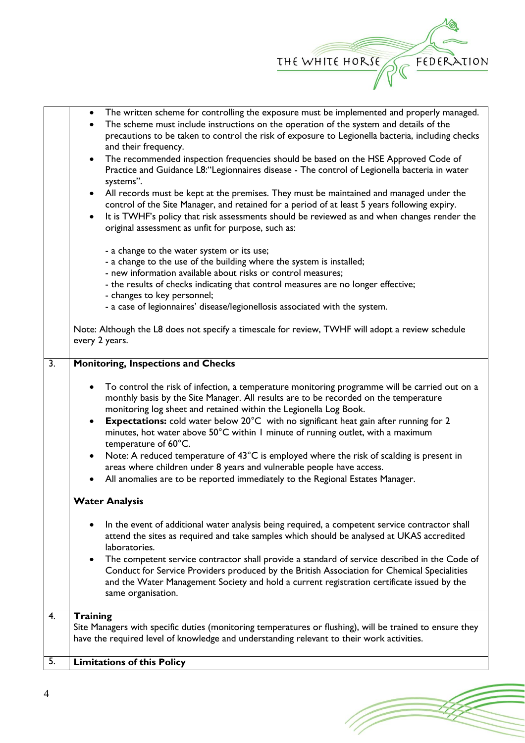

(T

• The written scheme for controlling the exposure must be implemented and properly managed.

|                  | The scheme must include instructions on the operation of the system and details of the<br>$\bullet$<br>precautions to be taken to control the risk of exposure to Legionella bacteria, including checks<br>and their frequency.                                                                                                                                                                                                                                                                                                                                                                          |  |  |
|------------------|----------------------------------------------------------------------------------------------------------------------------------------------------------------------------------------------------------------------------------------------------------------------------------------------------------------------------------------------------------------------------------------------------------------------------------------------------------------------------------------------------------------------------------------------------------------------------------------------------------|--|--|
|                  | The recommended inspection frequencies should be based on the HSE Approved Code of<br>$\bullet$<br>Practice and Guidance L8: "Legionnaires disease - The control of Legionella bacteria in water<br>systems".                                                                                                                                                                                                                                                                                                                                                                                            |  |  |
|                  | All records must be kept at the premises. They must be maintained and managed under the<br>$\bullet$<br>control of the Site Manager, and retained for a period of at least 5 years following expiry.<br>It is TWHF's policy that risk assessments should be reviewed as and when changes render the<br>$\bullet$<br>original assessment as unfit for purpose, such as:                                                                                                                                                                                                                                   |  |  |
|                  | - a change to the water system or its use;<br>- a change to the use of the building where the system is installed;<br>- new information available about risks or control measures;<br>- the results of checks indicating that control measures are no longer effective;<br>- changes to key personnel;<br>- a case of legionnaires' disease/legionellosis associated with the system.                                                                                                                                                                                                                    |  |  |
|                  | Note: Although the L8 does not specify a timescale for review, TWHF will adopt a review schedule<br>every 2 years.                                                                                                                                                                                                                                                                                                                                                                                                                                                                                       |  |  |
| $\overline{3}$ . | <b>Monitoring, Inspections and Checks</b>                                                                                                                                                                                                                                                                                                                                                                                                                                                                                                                                                                |  |  |
|                  | To control the risk of infection, a temperature monitoring programme will be carried out on a<br>$\bullet$<br>monthly basis by the Site Manager. All results are to be recorded on the temperature<br>monitoring log sheet and retained within the Legionella Log Book.<br><b>Expectations:</b> cold water below 20°C with no significant heat gain after running for 2<br>$\bullet$<br>minutes, hot water above 50°C within I minute of running outlet, with a maximum<br>temperature of 60°C.<br>Note: A reduced temperature of 43°C is employed where the risk of scalding is present in<br>$\bullet$ |  |  |
|                  | areas where children under 8 years and vulnerable people have access.<br>All anomalies are to be reported immediately to the Regional Estates Manager.                                                                                                                                                                                                                                                                                                                                                                                                                                                   |  |  |
|                  | <b>Water Analysis</b>                                                                                                                                                                                                                                                                                                                                                                                                                                                                                                                                                                                    |  |  |
|                  | In the event of additional water analysis being required, a competent service contractor shall<br>$\bullet$<br>attend the sites as required and take samples which should be analysed at UKAS accredited<br>laboratories.                                                                                                                                                                                                                                                                                                                                                                                |  |  |
|                  | The competent service contractor shall provide a standard of service described in the Code of<br>$\bullet$<br>Conduct for Service Providers produced by the British Association for Chemical Specialities<br>and the Water Management Society and hold a current registration certificate issued by the<br>same organisation.                                                                                                                                                                                                                                                                            |  |  |
| $\overline{4}$ . | <b>Training</b>                                                                                                                                                                                                                                                                                                                                                                                                                                                                                                                                                                                          |  |  |
|                  | Site Managers with specific duties (monitoring temperatures or flushing), will be trained to ensure they<br>have the required level of knowledge and understanding relevant to their work activities.                                                                                                                                                                                                                                                                                                                                                                                                    |  |  |
| 5.               | <b>Limitations of this Policy</b>                                                                                                                                                                                                                                                                                                                                                                                                                                                                                                                                                                        |  |  |